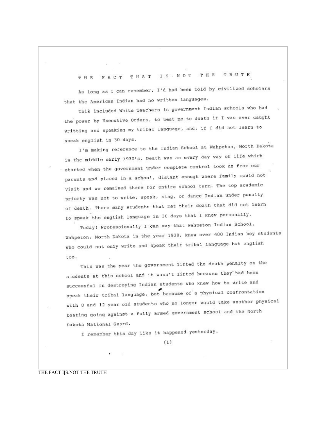## THE TRUTH FACT THAT IS . NOT T H E

As long as I can remember, I'd had been told by civilized scholars that the American Indian had no written languages.

This included White Teachers in government Indian schools who had the power by Executive Orders, to beat me to death if I was ever caught writting and speaking my tribal language, and, if I did not learn to speak english in 30 days.

I'm making reference to the Indian School at Wahpeton, North Dakota in the middle early 1930's. Death was an every day way of life which started when the government under complete control took us from our parents and placed in a school, distant enough where family could not visit and we remained there for entire school term. The top academic priorty was not to write, speak, sing, or dance Indian under penalty of death. There many students that met their death that did not learn to speak the english language in 30 days that I knew personally.

Today! Professionally I can say that Wahpeton Indian School, Wahpeton, North Dakota in the year 1938, knew over 400 Indian boy students who could not only write and speak their tribal language but english too.

This was the year the government lifted the death penalty on the students at this school and it wasn't lifted because they had been successful in destroying Indian students who knew how to write and speak their tribal language, but because of a physical confrontation with 8 and 12 year old students who no longer would take another physical beating going against a fully armed government school and the North Dakota National Guard.

I remember this day like it happened yesterday.

 $(1)$ 

THE FACT I[S.NOT THE TRUTH